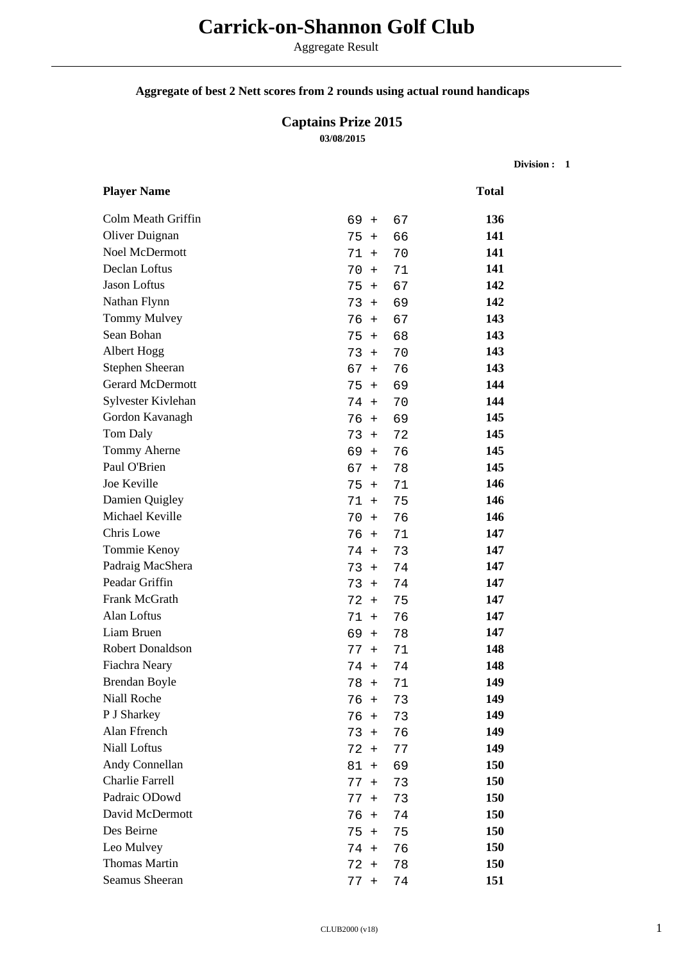# **Carrick-on-Shannon Golf Club**

Aggregate Result

### **Aggregate of best 2 Nett scores from 2 rounds using actual round handicaps**

## **Captains Prize 2015 03/08/2015**

**Division : 1**

| <b>Player Name</b>      |                 |    | <b>Total</b> |
|-------------------------|-----------------|----|--------------|
| Colm Meath Griffin      | $69 +$          | 67 | 136          |
| Oliver Duignan          | 75<br>$+$       | 66 | 141          |
| Noel McDermott          | 71<br>$+$       | 70 | 141          |
| Declan Loftus           | 70<br>$\ddot{}$ | 71 | 141          |
| Jason Loftus            | 75<br>$\ddot{}$ | 67 | 142          |
| Nathan Flynn            | 73<br>$+$       | 69 | 142          |
| <b>Tommy Mulvey</b>     | 76<br>$+$       | 67 | 143          |
| Sean Bohan              | 75<br>$+$       | 68 | 143          |
| Albert Hogg             | 73<br>$+$       | 70 | 143          |
| Stephen Sheeran         | 67<br>$+$       | 76 | 143          |
| <b>Gerard McDermott</b> | 75<br>$+$       | 69 | 144          |
| Sylvester Kivlehan      | 74<br>$+$       | 70 | 144          |
| Gordon Kavanagh         | 76<br>$+$       | 69 | 145          |
| Tom Daly                | 73<br>$+$       | 72 | 145          |
| Tommy Aherne            | 69<br>$+$       | 76 | 145          |
| Paul O'Brien            | 67<br>$+$       | 78 | 145          |
| Joe Keville             | 75<br>$+$       | 71 | 146          |
| Damien Quigley          | 71<br>$+$       | 75 | 146          |
| Michael Keville         | 70<br>$+$       | 76 | 146          |
| Chris Lowe              | 76<br>$+$       | 71 | 147          |
| Tommie Kenoy            | 74<br>$+$       | 73 | 147          |
| Padraig MacShera        | 73<br>$+$       | 74 | 147          |
| Peadar Griffin          | 73<br>$+$       | 74 | 147          |
| Frank McGrath           | 72<br>$+$       | 75 | 147          |
| Alan Loftus             | 71<br>$+$       | 76 | 147          |
| Liam Bruen              | 69<br>$+$       | 78 | 147          |
| Robert Donaldson        | 77<br>$+$       | 71 | 148          |
| Fiachra Neary           | 74<br>$+$       | 74 | 148          |
| <b>Brendan Boyle</b>    | 78<br>$+$       | 71 | 149          |
| Niall Roche             | $76 +$          | 73 | 149          |
| P J Sharkey             | 76<br>$+$       | 73 | 149          |
| Alan Ffrench            | $73 +$          | 76 | 149          |
| Niall Loftus            | $72 +$          | 77 | 149          |
| Andy Connellan          | $81 +$          | 69 | 150          |
| <b>Charlie Farrell</b>  | $77 +$          | 73 | 150          |
| Padraic ODowd           | 77<br>$+$       | 73 | 150          |
| David McDermott         | $76 +$          | 74 | 150          |
| Des Beirne              | $75 +$          | 75 | 150          |
| Leo Mulvey              | 74 +            | 76 | 150          |
| <b>Thomas Martin</b>    | $72 +$          | 78 | 150          |
| Seamus Sheeran          | $77 +$          | 74 | 151          |